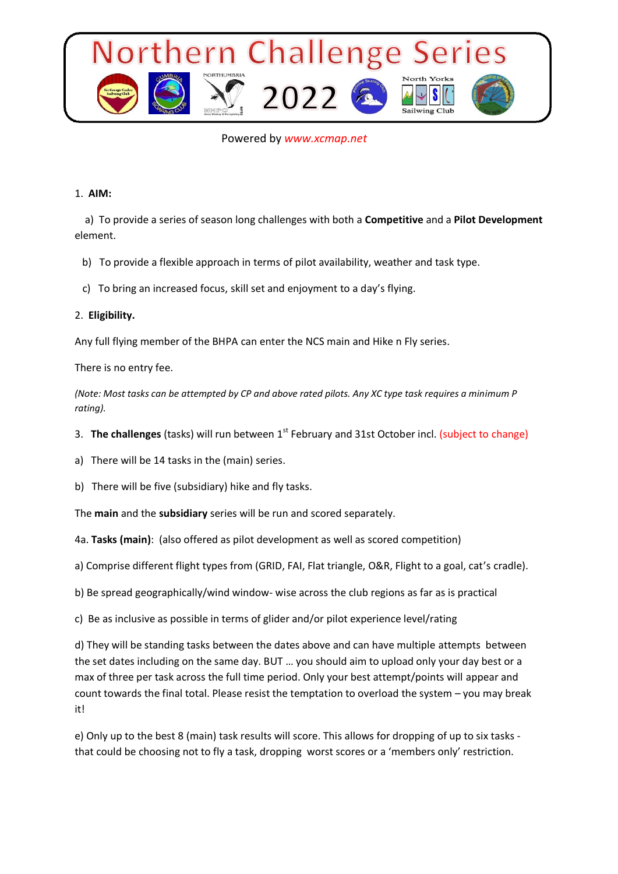

# Powered by *www.xcmap.net*

#### 1. **AIM:**

 a) To provide a series of season long challenges with both a **Competitive** and a **Pilot Development**  element.

b) To provide a flexible approach in terms of pilot availability, weather and task type.

c) To bring an increased focus, skill set and enjoyment to a day's flying.

#### 2. **Eligibility.**

Any full flying member of the BHPA can enter the NCS main and Hike n Fly series.

There is no entry fee.

*(Note: Most tasks can be attempted by CP and above rated pilots. Any XC type task requires a minimum P rating).*

3. **The challenges** (tasks) will run between 1<sup>st</sup> February and 31st October incl. (subject to change)

a) There will be 14 tasks in the (main) series.

b) There will be five (subsidiary) hike and fly tasks.

The **main** and the **subsidiary** series will be run and scored separately.

4a. **Tasks (main)**: (also offered as pilot development as well as scored competition)

a) Comprise different flight types from (GRID, FAI, Flat triangle, O&R, Flight to a goal, cat's cradle).

b) Be spread geographically/wind window- wise across the club regions as far as is practical

c) Be as inclusive as possible in terms of glider and/or pilot experience level/rating

d) They will be standing tasks between the dates above and can have multiple attempts between the set dates including on the same day. BUT … you should aim to upload only your day best or a max of three per task across the full time period. Only your best attempt/points will appear and count towards the final total. Please resist the temptation to overload the system – you may break it!

e) Only up to the best 8 (main) task results will score. This allows for dropping of up to six tasks that could be choosing not to fly a task, dropping worst scores or a 'members only' restriction.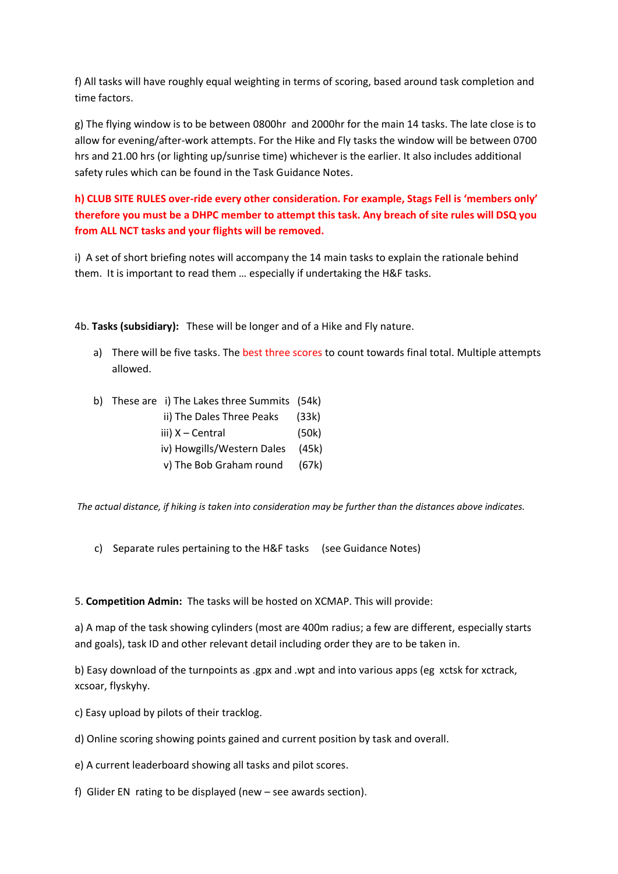f) All tasks will have roughly equal weighting in terms of scoring, based around task completion and time factors.

g) The flying window is to be between 0800hr and 2000hr for the main 14 tasks. The late close is to allow for evening/after-work attempts. For the Hike and Fly tasks the window will be between 0700 hrs and 21.00 hrs (or lighting up/sunrise time) whichever is the earlier. It also includes additional safety rules which can be found in the Task Guidance Notes.

**h) CLUB SITE RULES over-ride every other consideration. For example, Stags Fell is 'members only' therefore you must be a DHPC member to attempt this task. Any breach of site rules will DSQ you from ALL NCT tasks and your flights will be removed.**

i) A set of short briefing notes will accompany the 14 main tasks to explain the rationale behind them. It is important to read them … especially if undertaking the H&F tasks.

4b. **Tasks (subsidiary):** These will be longer and of a Hike and Fly nature.

a) There will be five tasks. The best three scores to count towards final total. Multiple attempts allowed.

| ii) The Dales Three Peaks | (33k)                                                                          |
|---------------------------|--------------------------------------------------------------------------------|
| iii) X – Central          | (50k)                                                                          |
|                           |                                                                                |
| v) The Bob Graham round   | (67k)                                                                          |
| b) -                      | These are i) The Lakes three Summits (54k)<br>iv) Howgills/Western Dales (45k) |

*The actual distance, if hiking is taken into consideration may be further than the distances above indicates.* 

c) Separate rules pertaining to the H&F tasks (see Guidance Notes)

5. **Competition Admin:** The tasks will be hosted on XCMAP. This will provide:

a) A map of the task showing cylinders (most are 400m radius; a few are different, especially starts and goals), task ID and other relevant detail including order they are to be taken in.

b) Easy download of the turnpoints as .gpx and .wpt and into various apps (eg xctsk for xctrack, xcsoar, flyskyhy.

c) Easy upload by pilots of their tracklog.

d) Online scoring showing points gained and current position by task and overall.

e) A current leaderboard showing all tasks and pilot scores.

f) Glider EN rating to be displayed (new – see awards section).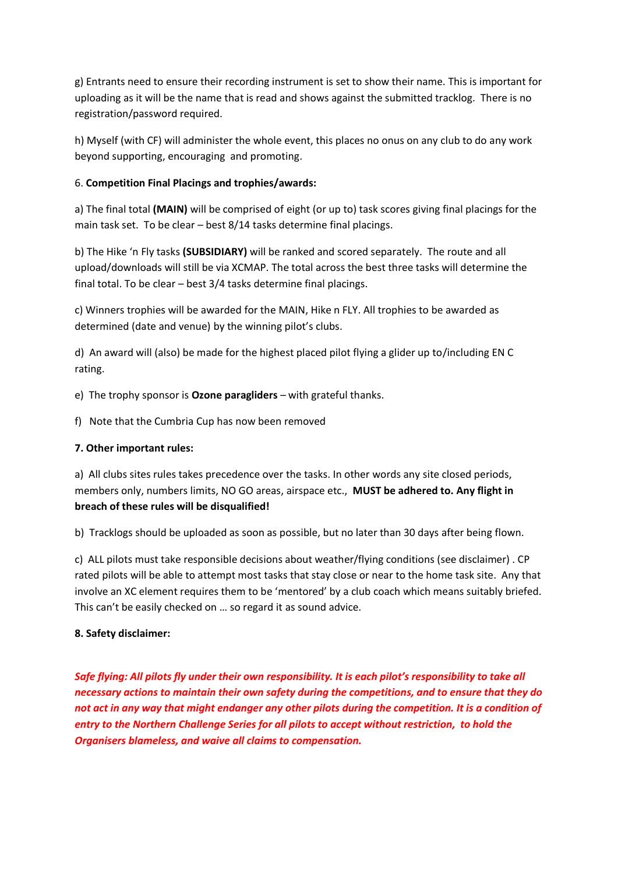g) Entrants need to ensure their recording instrument is set to show their name. This is important for uploading as it will be the name that is read and shows against the submitted tracklog. There is no registration/password required.

h) Myself (with CF) will administer the whole event, this places no onus on any club to do any work beyond supporting, encouraging and promoting.

# 6. **Competition Final Placings and trophies/awards:**

a) The final total **(MAIN)** will be comprised of eight (or up to) task scores giving final placings for the main task set. To be clear – best 8/14 tasks determine final placings.

b) The Hike 'n Fly tasks **(SUBSIDIARY)** will be ranked and scored separately. The route and all upload/downloads will still be via XCMAP. The total across the best three tasks will determine the final total. To be clear – best 3/4 tasks determine final placings.

c) Winners trophies will be awarded for the MAIN, Hike n FLY. All trophies to be awarded as determined (date and venue) by the winning pilot's clubs.

d) An award will (also) be made for the highest placed pilot flying a glider up to/including EN C rating.

e) The trophy sponsor is **Ozone paragliders** – with grateful thanks.

f) Note that the Cumbria Cup has now been removed

# **7. Other important rules:**

a) All clubs sites rules takes precedence over the tasks. In other words any site closed periods, members only, numbers limits, NO GO areas, airspace etc., **MUST be adhered to. Any flight in breach of these rules will be disqualified!**

b) Tracklogs should be uploaded as soon as possible, but no later than 30 days after being flown.

c) ALL pilots must take responsible decisions about weather/flying conditions (see disclaimer) . CP rated pilots will be able to attempt most tasks that stay close or near to the home task site. Any that involve an XC element requires them to be 'mentored' by a club coach which means suitably briefed. This can't be easily checked on … so regard it as sound advice.

# **8. Safety disclaimer:**

*Safe flying: All pilots fly under their own responsibility. It is each pilot's responsibility to take all necessary actions to maintain their own safety during the competitions, and to ensure that they do not act in any way that might endanger any other pilots during the competition. It is a condition of entry to the Northern Challenge Series for all pilots to accept without restriction, to hold the Organisers blameless, and waive all claims to compensation.*